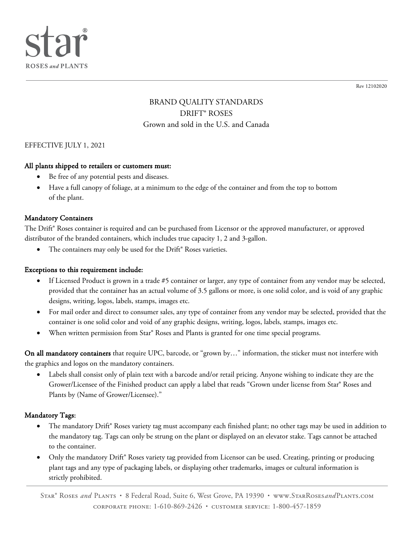

Rev 12102020

# BRAND QUALITY STANDARDS DRIFT® ROSES Grown and sold in the U.S. and Canada

#### EFFECTIVE JULY 1, 2021

#### All plants shipped to retailers or customers must:

- Be free of any potential pests and diseases.
- Have a full canopy of foliage, at a minimum to the edge of the container and from the top to bottom of the plant.

#### Mandatory Containers

The Drift® Roses container is required and can be purchased from Licensor or the approved manufacturer, or approved distributor of the branded containers, which includes true capacity 1, 2 and 3-gallon.

The containers may only be used for the Drift® Roses varieties.

#### Exceptions to this requirement include:

- If Licensed Product is grown in a trade #5 container or larger, any type of container from any vendor may be selected, provided that the container has an actual volume of 3.5 gallons or more, is one solid color, and is void of any graphic designs, writing, logos, labels, stamps, images etc.
- For mail order and direct to consumer sales, any type of container from any vendor may be selected, provided that the container is one solid color and void of any graphic designs, writing, logos, labels, stamps, images etc.
- When written permission from Star® Roses and Plants is granted for one time special programs.

On all mandatory containers that require UPC, barcode, or "grown by..." information, the sticker must not interfere with the graphics and logos on the mandatory containers.

Labels shall consist only of plain text with a barcode and/or retail pricing. Anyone wishing to indicate they are the Grower/Licensee of the Finished product can apply a label that reads "Grown under license from Star® Roses and Plants by (Name of Grower/Licensee)."

#### Mandatory Tags:

- The mandatory Drift® Roses variety tag must accompany each finished plant; no other tags may be used in addition to the mandatory tag. Tags can only be strung on the plant or displayed on an elevator stake. Tags cannot be attached to the container.
- Only the mandatory Drift® Roses variety tag provided from Licensor can be used. Creating, printing or producing plant tags and any type of packaging labels, or displaying other trademarks, images or cultural information is strictly prohibited.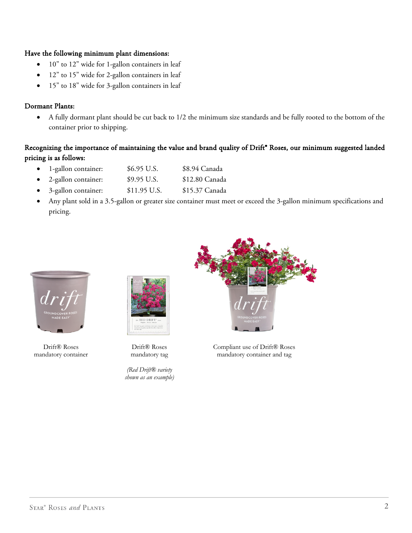#### Have the following minimum plant dimensions:

- 10" to 12" wide for 1-gallon containers in leaf
- 12" to 15" wide for 2-gallon containers in leaf
- 15" to 18" wide for 3-gallon containers in leaf

### Dormant Plants:

• A fully dormant plant should be cut back to 1/2 the minimum size standards and be fully rooted to the bottom of the container prior to shipping.

# Recognizing the importance of maintaining the value and brand quality of Drift<sup>®</sup> Roses, our minimum suggested landed pricing is as follows:

- 1-gallon container: \$6.95 U.S. \$8.94 Canada
- 2-gallon container: \$9.95 U.S. \$12.80 Canada
- 3-gallon container: \$11.95 U.S. \$15.37 Canada
- Any plant sold in a 3.5-gallon or greater size container must meet or exceed the 3-gallon minimum specifications and pricing.



Drift® Roses mandatory container



Drift® Roses mandatory tag

*(Red Drift® variety shown as an example)*



Compliant use of Drift® Roses mandatory container and tag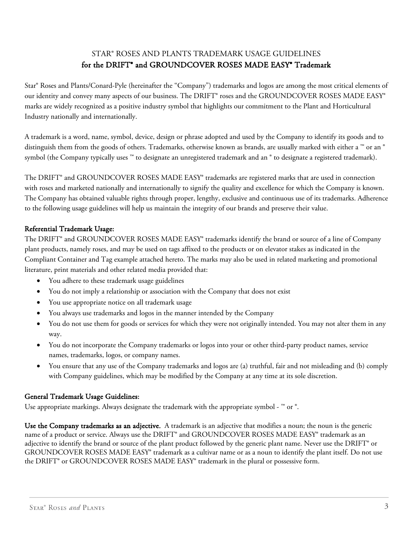# STAR® ROSES AND PLANTS TRADEMARK USAGE GUIDELINES for the DRIFT<sup>®</sup> and GROUNDCOVER ROSES MADE EASY<sup>®</sup> Trademark

Star® Roses and Plants/Conard-Pyle (hereinafter the "Company") trademarks and logos are among the most critical elements of our identity and convey many aspects of our business. The DRIFT® roses and the GROUNDCOVER ROSES MADE EASY® marks are widely recognized as a positive industry symbol that highlights our commitment to the Plant and Horticultural Industry nationally and internationally.

A trademark is a word, name, symbol, device, design or phrase adopted and used by the Company to identify its goods and to distinguish them from the goods of others. Trademarks, otherwise known as brands, are usually marked with either a ™ or an ® symbol (the Company typically uses ™ to designate an unregistered trademark and an ® to designate a registered trademark).

The DRIFT® and GROUNDCOVER ROSES MADE EASY® trademarks are registered marks that are used in connection with roses and marketed nationally and internationally to signify the quality and excellence for which the Company is known. The Company has obtained valuable rights through proper, lengthy, exclusive and continuous use of its trademarks. Adherence to the following usage guidelines will help us maintain the integrity of our brands and preserve their value.

# Referential Trademark Usage:

The DRIFT® and GROUNDCOVER ROSES MADE EASY® trademarks identify the brand or source of a line of Company plant products, namely roses, and may be used on tags affixed to the products or on elevator stakes as indicated in the Compliant Container and Tag example attached hereto. The marks may also be used in related marketing and promotional literature, print materials and other related media provided that:

- You adhere to these trademark usage guidelines
- You do not imply a relationship or association with the Company that does not exist
- You use appropriate notice on all trademark usage
- You always use trademarks and logos in the manner intended by the Company
- You do not use them for goods or services for which they were not originally intended. You may not alter them in any way.
- You do not incorporate the Company trademarks or logos into your or other third-party product names, service names, trademarks, logos, or company names.
- You ensure that any use of the Company trademarks and logos are (a) truthful, fair and not misleading and (b) comply with Company guidelines, which may be modified by the Company at any time at its sole discretion.

# General Trademark Usage Guidelines:

Use appropriate markings. Always designate the trademark with the appropriate symbol -  $^{\mathbb{N}}$  or  $^{\circ}$ .

Use the Company trademarks as an adjective. A trademark is an adjective that modifies a noun; the noun is the generic name of a product or service. Always use the DRIFT® and GROUNDCOVER ROSES MADE EASY® trademark as an adjective to identify the brand or source of the plant product followed by the generic plant name. Never use the DRIFT® or GROUNDCOVER ROSES MADE EASY® trademark as a cultivar name or as a noun to identify the plant itself. Do not use the DRIFT® or GROUNDCOVER ROSES MADE EASY® trademark in the plural or possessive form.